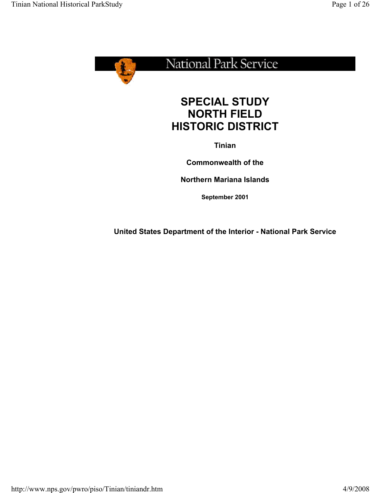

# National Park Service

# **SPECIAL STUDY NORTH FIELD HISTORIC DISTRICT**

**Tinian**

**Commonwealth of the**

**Northern Mariana Islands**

**September 2001**

**United States Department of the Interior - National Park Service**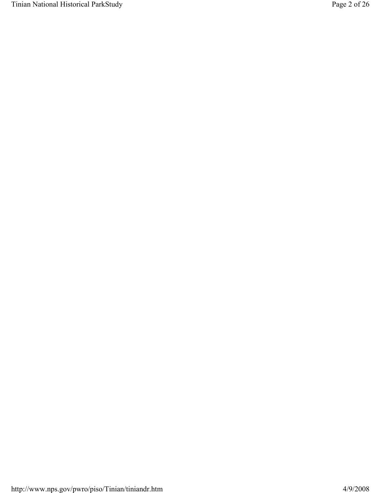Tinian National Historical ParkStudy **Page 2 of 26** Page 2 of 26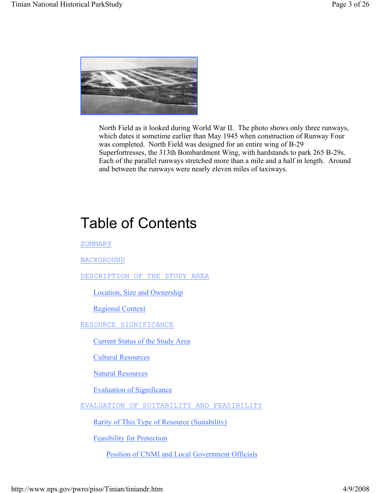

North Field as it looked during World War II. The photo shows only three runways, which dates it sometime earlier than May 1945 when construction of Runway Four was completed. North Field was designed for an entire wing of B-29 Superfortresses, the 313th Bombardment Wing, with hardstands to park 265 B-29s. Each of the parallel runways stretched more than a mile and a half in length. Around and between the runways were nearly eleven miles of taxiways.

# Table of Contents

SUMMARY

BACKGROUND

DESCRIPTION OF THE STUDY AREA

Location, Size and Ownership

Regional Context

RESOURCE SIGNIFICANCE

Current Status of the Study Area

Cultural Resources

Natural Resources

Evaluation of Significance

EVALUATION OF SUITABILITY AND FEASIBILITY

Rarity of This Type of Resource (Suitability)

Feasibility for Protection

Position of CNMI and Local Government Officials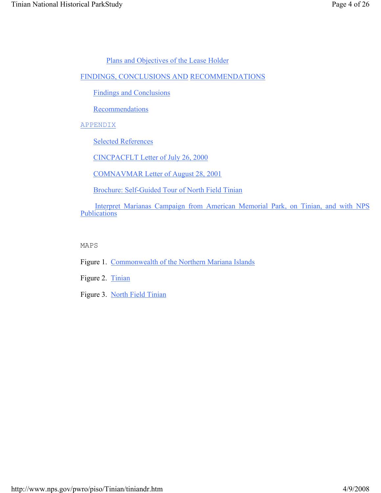Plans and Objectives of the Lease Holder

FINDINGS, CONCLUSIONS AND RECOMMENDATIONS

Findings and Conclusions

**Recommendations** 

APPENDIX

Selected References

CINCPACFLT Letter of July 26, 2000

COMNAVMAR Letter of August 28, 2001

Brochure: Self-Guided Tour of North Field Tinian

Interpret Marianas Campaign from American Memorial Park, on Tinian, and with NPS **Publications** 

MAPS

Figure 1. Commonwealth of the Northern Mariana Islands

Figure 2. Tinian

Figure 3. North Field Tinian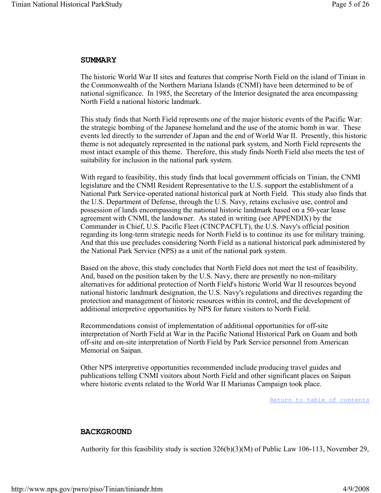#### **SUMMARY**

The historic World War II sites and features that comprise North Field on the island of Tinian in the Commonwealth of the Northern Mariana Islands (CNMI) have been determined to be of national significance. In 1985, the Secretary of the Interior designated the area encompassing North Field a national historic landmark.

This study finds that North Field represents one of the major historic events of the Pacific War: the strategic bombing of the Japanese homeland and the use of the atomic bomb in war. These events led directly to the surrender of Japan and the end of World War II. Presently, this historic theme is not adequately represented in the national park system, and North Field represents the most intact example of this theme. Therefore, this study finds North Field also meets the test of suitability for inclusion in the national park system.

With regard to feasibility, this study finds that local government officials on Tinian, the CNMI legislature and the CNMI Resident Representative to the U.S. support the establishment of a National Park Service-operated national historical park at North Field. This study also finds that the U.S. Department of Defense, through the U.S. Navy, retains exclusive use, control and possession of lands encompassing the national historic landmark based on a 50-year lease agreement with CNMI, the landowner. As stated in writing (see APPENDIX) by the Commander in Chief, U.S. Pacific Fleet (CINCPACFLT), the U.S. Navy's official position regarding its long-term strategic needs for North Field is to continue its use for military training. And that this use precludes considering North Field as a national historical park administered by the National Park Service (NPS) as a unit of the national park system.

Based on the above, this study concludes that North Field does not meet the test of feasibility. And, based on the position taken by the U.S. Navy, there are presently no non-military alternatives for additional protection of North Field's historic World War II resources beyond national historic landmark designation, the U.S. Navy's regulations and directives regarding the protection and management of historic resources within its control, and the development of additional interpretive opportunities by NPS for future visitors to North Field.

Recommendations consist of implementation of additional opportunities for off-site interpretation of North Field at War in the Pacific National Historical Park on Guam and both off-site and on-site interpretation of North Field by Park Service personnel from American Memorial on Saipan.

Other NPS interpretive opportunities recommended include producing travel guides and publications telling CNMI visitors about North Field and other significant places on Saipan where historic events related to the World War II Marianas Campaign took place.

Return to table of contents

#### **BACKGROUND**

Authority for this feasibility study is section 326(b)(3)(M) of Public Law 106-113, November 29,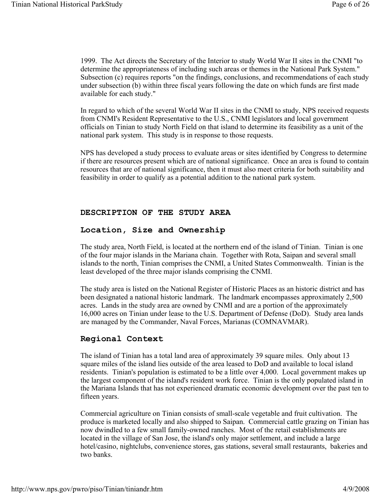1999. The Act directs the Secretary of the Interior to study World War II sites in the CNMI "to determine the appropriateness of including such areas or themes in the National Park System." Subsection (c) requires reports "on the findings, conclusions, and recommendations of each study under subsection (b) within three fiscal years following the date on which funds are first made available for each study."

In regard to which of the several World War II sites in the CNMI to study, NPS received requests from CNMI's Resident Representative to the U.S., CNMI legislators and local government officials on Tinian to study North Field on that island to determine its feasibility as a unit of the national park system. This study is in response to those requests.

NPS has developed a study process to evaluate areas or sites identified by Congress to determine if there are resources present which are of national significance. Once an area is found to contain resources that are of national significance, then it must also meet criteria for both suitability and feasibility in order to qualify as a potential addition to the national park system.

#### **DESCRIPTION OF THE STUDY AREA**

#### **Location, Size and Ownership**

The study area, North Field, is located at the northern end of the island of Tinian. Tinian is one of the four major islands in the Mariana chain. Together with Rota, Saipan and several small islands to the north, Tinian comprises the CNMI, a United States Commonwealth. Tinian is the least developed of the three major islands comprising the CNMI.

The study area is listed on the National Register of Historic Places as an historic district and has been designated a national historic landmark. The landmark encompasses approximately 2,500 acres. Lands in the study area are owned by CNMI and are a portion of the approximately 16,000 acres on Tinian under lease to the U.S. Department of Defense (DoD). Study area lands are managed by the Commander, Naval Forces, Marianas (COMNAVMAR).

## **Regional Context**

The island of Tinian has a total land area of approximately 39 square miles. Only about 13 square miles of the island lies outside of the area leased to DoD and available to local island residents. Tinian's population is estimated to be a little over 4,000. Local government makes up the largest component of the island's resident work force. Tinian is the only populated island in the Mariana Islands that has not experienced dramatic economic development over the past ten to fifteen years.

Commercial agriculture on Tinian consists of small-scale vegetable and fruit cultivation. The produce is marketed locally and also shipped to Saipan. Commercial cattle grazing on Tinian has now dwindled to a few small family-owned ranches. Most of the retail establishments are located in the village of San Jose, the island's only major settlement, and include a large hotel/casino, nightclubs, convenience stores, gas stations, several small restaurants, bakeries and two banks.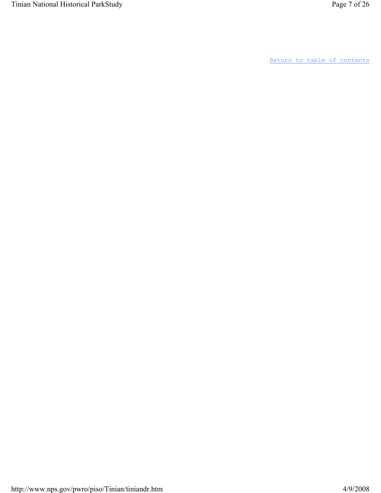Return to table of contents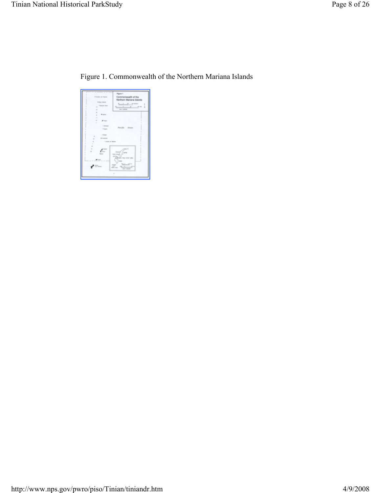Figure 1. Commonwealth of the Northern Mariana Islands

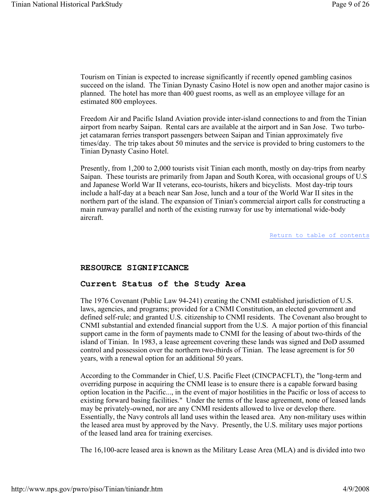Tourism on Tinian is expected to increase significantly if recently opened gambling casinos succeed on the island. The Tinian Dynasty Casino Hotel is now open and another major casino is planned. The hotel has more than 400 guest rooms, as well as an employee village for an estimated 800 employees.

Freedom Air and Pacific Island Aviation provide inter-island connections to and from the Tinian airport from nearby Saipan. Rental cars are available at the airport and in San Jose. Two turbojet catamaran ferries transport passengers between Saipan and Tinian approximately five times/day. The trip takes about 50 minutes and the service is provided to bring customers to the Tinian Dynasty Casino Hotel.

Presently, from 1,200 to 2,000 tourists visit Tinian each month, mostly on day-trips from nearby Saipan. These tourists are primarily from Japan and South Korea, with occasional groups of U.S and Japanese World War II veterans, eco-tourists, hikers and bicyclists. Most day-trip tours include a half-day at a beach near San Jose, lunch and a tour of the World War II sites in the northern part of the island. The expansion of Tinian's commercial airport calls for constructing a main runway parallel and north of the existing runway for use by international wide-body aircraft.

Return to table of contents

#### **RESOURCE SIGNIFICANCE**

#### **Current Status of the Study Area**

The 1976 Covenant (Public Law 94-241) creating the CNMI established jurisdiction of U.S. laws, agencies, and programs; provided for a CNMI Constitution, an elected government and defined self-rule; and granted U.S. citizenship to CNMI residents. The Covenant also brought to CNMI substantial and extended financial support from the U.S. A major portion of this financial support came in the form of payments made to CNMI for the leasing of about two-thirds of the island of Tinian. In 1983, a lease agreement covering these lands was signed and DoD assumed control and possession over the northern two-thirds of Tinian. The lease agreement is for 50 years, with a renewal option for an additional 50 years.

According to the Commander in Chief, U.S. Pacific Fleet (CINCPACFLT), the "long-term and overriding purpose in acquiring the CNMI lease is to ensure there is a capable forward basing option location in the Pacific..., in the event of major hostilities in the Pacific or loss of access to existing forward basing facilities." Under the terms of the lease agreement, none of leased lands may be privately-owned, nor are any CNMI residents allowed to live or develop there. Essentially, the Navy controls all land uses within the leased area. Any non-military uses within the leased area must by approved by the Navy. Presently, the U.S. military uses major portions of the leased land area for training exercises.

The 16,100-acre leased area is known as the Military Lease Area (MLA) and is divided into two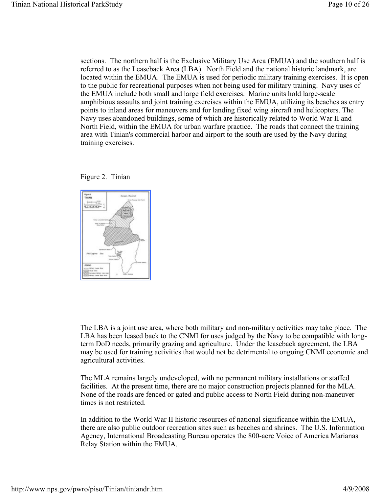sections. The northern half is the Exclusive Military Use Area (EMUA) and the southern half is referred to as the Leaseback Area (LBA). North Field and the national historic landmark, are located within the EMUA. The EMUA is used for periodic military training exercises. It is open to the public for recreational purposes when not being used for military training. Navy uses of the EMUA include both small and large field exercises. Marine units hold large-scale amphibious assaults and joint training exercises within the EMUA, utilizing its beaches as entry points to inland areas for maneuvers and for landing fixed wing aircraft and helicopters. The Navy uses abandoned buildings, some of which are historically related to World War II and North Field, within the EMUA for urban warfare practice. The roads that connect the training area with Tinian's commercial harbor and airport to the south are used by the Navy during training exercises.





The LBA is a joint use area, where both military and non-military activities may take place. The LBA has been leased back to the CNMI for uses judged by the Navy to be compatible with longterm DoD needs, primarily grazing and agriculture. Under the leaseback agreement, the LBA may be used for training activities that would not be detrimental to ongoing CNMI economic and agricultural activities.

The MLA remains largely undeveloped, with no permanent military installations or staffed facilities. At the present time, there are no major construction projects planned for the MLA. None of the roads are fenced or gated and public access to North Field during non-maneuver times is not restricted.

In addition to the World War II historic resources of national significance within the EMUA, there are also public outdoor recreation sites such as beaches and shrines. The U.S. Information Agency, International Broadcasting Bureau operates the 800-acre Voice of America Marianas Relay Station within the EMUA.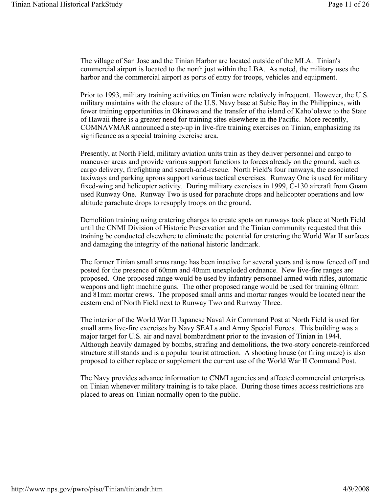The village of San Jose and the Tinian Harbor are located outside of the MLA. Tinian's commercial airport is located to the north just within the LBA. As noted, the military uses the harbor and the commercial airport as ports of entry for troops, vehicles and equipment.

Prior to 1993, military training activities on Tinian were relatively infrequent. However, the U.S. military maintains with the closure of the U.S. Navy base at Subic Bay in the Philippines, with fewer training opportunities in Okinawa and the transfer of the island of Kaho`olawe to the State of Hawaii there is a greater need for training sites elsewhere in the Pacific. More recently, COMNAVMAR announced a step-up in live-fire training exercises on Tinian, emphasizing its significance as a special training exercise area.

Presently, at North Field, military aviation units train as they deliver personnel and cargo to maneuver areas and provide various support functions to forces already on the ground, such as cargo delivery, firefighting and search-and-rescue. North Field's four runways, the associated taxiways and parking aprons support various tactical exercises. Runway One is used for military fixed-wing and helicopter activity. During military exercises in 1999, C-130 aircraft from Guam used Runway One. Runway Two is used for parachute drops and helicopter operations and low altitude parachute drops to resupply troops on the ground.

Demolition training using cratering charges to create spots on runways took place at North Field until the CNMI Division of Historic Preservation and the Tinian community requested that this training be conducted elsewhere to eliminate the potential for cratering the World War II surfaces and damaging the integrity of the national historic landmark.

The former Tinian small arms range has been inactive for several years and is now fenced off and posted for the presence of 60mm and 40mm unexploded ordnance. New live-fire ranges are proposed. One proposed range would be used by infantry personnel armed with rifles, automatic weapons and light machine guns. The other proposed range would be used for training 60mm and 81mm mortar crews. The proposed small arms and mortar ranges would be located near the eastern end of North Field next to Runway Two and Runway Three.

The interior of the World War II Japanese Naval Air Command Post at North Field is used for small arms live-fire exercises by Navy SEALs and Army Special Forces. This building was a major target for U.S. air and naval bombardment prior to the invasion of Tinian in 1944. Although heavily damaged by bombs, strafing and demolitions, the two-story concrete-reinforced structure still stands and is a popular tourist attraction. A shooting house (or firing maze) is also proposed to either replace or supplement the current use of the World War II Command Post.

The Navy provides advance information to CNMI agencies and affected commercial enterprises on Tinian whenever military training is to take place. During those times access restrictions are placed to areas on Tinian normally open to the public.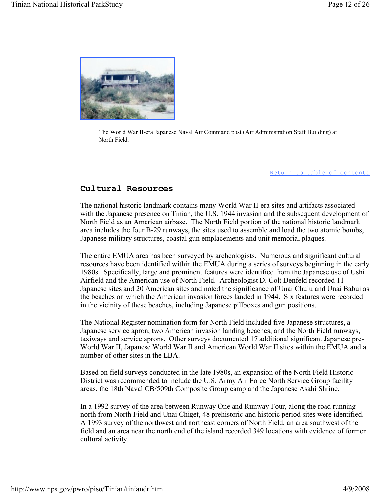

The World War II-era Japanese Naval Air Command post (Air Administration Staff Building) at North Field.

#### Return to table of contents

#### **Cultural Resources**

The national historic landmark contains many World War II-era sites and artifacts associated with the Japanese presence on Tinian, the U.S. 1944 invasion and the subsequent development of North Field as an American airbase. The North Field portion of the national historic landmark area includes the four B-29 runways, the sites used to assemble and load the two atomic bombs, Japanese military structures, coastal gun emplacements and unit memorial plaques.

The entire EMUA area has been surveyed by archeologists. Numerous and significant cultural resources have been identified within the EMUA during a series of surveys beginning in the early 1980s. Specifically, large and prominent features were identified from the Japanese use of Ushi Airfield and the American use of North Field. Archeologist D. Colt Denfeld recorded 11 Japanese sites and 20 American sites and noted the significance of Unai Chulu and Unai Babui as the beaches on which the American invasion forces landed in 1944. Six features were recorded in the vicinity of these beaches, including Japanese pillboxes and gun positions.

The National Register nomination form for North Field included five Japanese structures, a Japanese service apron, two American invasion landing beaches, and the North Field runways, taxiways and service aprons. Other surveys documented 17 additional significant Japanese pre-World War II, Japanese World War II and American World War II sites within the EMUA and a number of other sites in the LBA.

Based on field surveys conducted in the late 1980s, an expansion of the North Field Historic District was recommended to include the U.S. Army Air Force North Service Group facility areas, the 18th Naval CB/509th Composite Group camp and the Japanese Asahi Shrine.

In a 1992 survey of the area between Runway One and Runway Four, along the road running north from North Field and Unai Chiget, 48 prehistoric and historic period sites were identified. A 1993 survey of the northwest and northeast corners of North Field, an area southwest of the field and an area near the north end of the island recorded 349 locations with evidence of former cultural activity.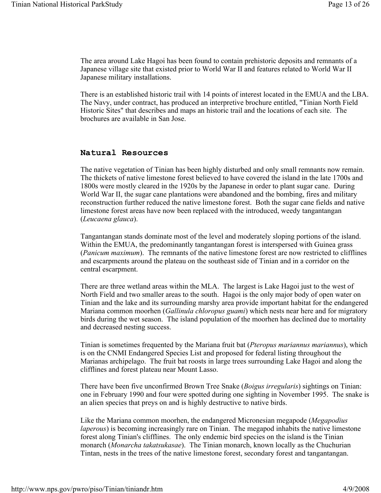The area around Lake Hagoi has been found to contain prehistoric deposits and remnants of a Japanese village site that existed prior to World War II and features related to World War II Japanese military installations.

There is an established historic trail with 14 points of interest located in the EMUA and the LBA. The Navy, under contract, has produced an interpretive brochure entitled, "Tinian North Field Historic Sites" that describes and maps an historic trail and the locations of each site. The brochures are available in San Jose.

#### **Natural Resources**

The native vegetation of Tinian has been highly disturbed and only small remnants now remain. The thickets of native limestone forest believed to have covered the island in the late 1700s and 1800s were mostly cleared in the 1920s by the Japanese in order to plant sugar cane. During World War II, the sugar cane plantations were abandoned and the bombing, fires and military reconstruction further reduced the native limestone forest. Both the sugar cane fields and native limestone forest areas have now been replaced with the introduced, weedy tangantangan (*Leucaena glauca*).

Tangantangan stands dominate most of the level and moderately sloping portions of the island. Within the EMUA, the predominantly tangantangan forest is interspersed with Guinea grass (*Panicum maximum*). The remnants of the native limestone forest are now restricted to clifflines and escarpments around the plateau on the southeast side of Tinian and in a corridor on the central escarpment.

There are three wetland areas within the MLA. The largest is Lake Hagoi just to the west of North Field and two smaller areas to the south. Hagoi is the only major body of open water on Tinian and the lake and its surrounding marshy area provide important habitat for the endangered Mariana common moorhen (*Gallinula chloropus guami*) which nests near here and for migratory birds during the wet season. The island population of the moorhen has declined due to mortality and decreased nesting success.

Tinian is sometimes frequented by the Mariana fruit bat (*Pteropus mariannus mariannus*), which is on the CNMI Endangered Species List and proposed for federal listing throughout the Marianas archipelago. The fruit bat roosts in large trees surrounding Lake Hagoi and along the clifflines and forest plateau near Mount Lasso.

There have been five unconfirmed Brown Tree Snake (*Boigus irregularis*) sightings on Tinian: one in February 1990 and four were spotted during one sighting in November 1995. The snake is an alien species that preys on and is highly destructive to native birds.

Like the Mariana common moorhen, the endangered Micronesian megapode (*Megapodius laperous*) is becoming increasingly rare on Tinian. The megapod inhabits the native limestone forest along Tinian's clifflines. The only endemic bird species on the island is the Tinian monarch (*Monarcha takatsukasae*). The Tinian monarch, known locally as the Chuchurian Tintan, nests in the trees of the native limestone forest, secondary forest and tangantangan.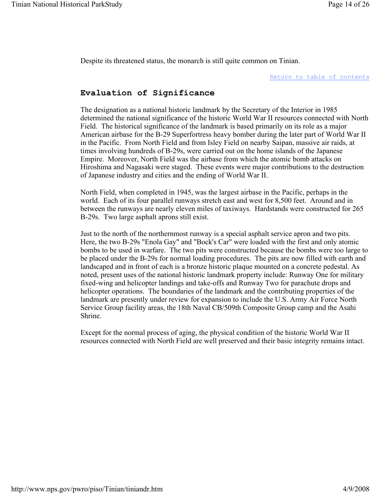Despite its threatened status, the monarch is still quite common on Tinian.

Return to table of contents

### **Evaluation of Significance**

The designation as a national historic landmark by the Secretary of the Interior in 1985 determined the national significance of the historic World War II resources connected with North Field. The historical significance of the landmark is based primarily on its role as a major American airbase for the B-29 Superfortress heavy bomber during the later part of World War II in the Pacific. From North Field and from Isley Field on nearby Saipan, massive air raids, at times involving hundreds of B-29s, were carried out on the home islands of the Japanese Empire. Moreover, North Field was the airbase from which the atomic bomb attacks on Hiroshima and Nagasaki were staged. These events were major contributions to the destruction of Japanese industry and cities and the ending of World War II.

North Field, when completed in 1945, was the largest airbase in the Pacific, perhaps in the world. Each of its four parallel runways stretch east and west for 8,500 feet. Around and in between the runways are nearly eleven miles of taxiways. Hardstands were constructed for 265 B-29s. Two large asphalt aprons still exist.

Just to the north of the northernmost runway is a special asphalt service apron and two pits. Here, the two B-29s "Enola Gay" and "Bock's Car" were loaded with the first and only atomic bombs to be used in warfare. The two pits were constructed because the bombs were too large to be placed under the B-29s for normal loading procedures. The pits are now filled with earth and landscaped and in front of each is a bronze historic plaque mounted on a concrete pedestal. As noted, present uses of the national historic landmark property include: Runway One for military fixed-wing and helicopter landings and take-offs and Runway Two for parachute drops and helicopter operations. The boundaries of the landmark and the contributing properties of the landmark are presently under review for expansion to include the U.S. Army Air Force North Service Group facility areas, the 18th Naval CB/509th Composite Group camp and the Asahi Shrine.

Except for the normal process of aging, the physical condition of the historic World War II resources connected with North Field are well preserved and their basic integrity remains intact.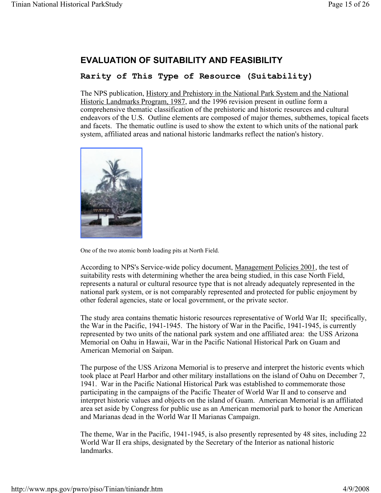# **EVALUATION OF SUITABILITY AND FEASIBILITY**

## **Rarity of This Type of Resource (Suitability)**

The NPS publication, History and Prehistory in the National Park System and the National Historic Landmarks Program, 1987, and the 1996 revision present in outline form a comprehensive thematic classification of the prehistoric and historic resources and cultural endeavors of the U.S. Outline elements are composed of major themes, subthemes, topical facets and facets. The thematic outline is used to show the extent to which units of the national park system, affiliated areas and national historic landmarks reflect the nation's history.



One of the two atomic bomb loading pits at North Field.

According to NPS's Service-wide policy document, Management Policies 2001, the test of suitability rests with determining whether the area being studied, in this case North Field, represents a natural or cultural resource type that is not already adequately represented in the national park system, or is not comparably represented and protected for public enjoyment by other federal agencies, state or local government, or the private sector.

The study area contains thematic historic resources representative of World War II; specifically, the War in the Pacific, 1941-1945.The history of War in the Pacific, 1941-1945, is currently represented by two units of the national park system and one affiliated area: the USS Arizona Memorial on Oahu in Hawaii, War in the Pacific National Historical Park on Guam and American Memorial on Saipan.

The purpose of the USS Arizona Memorial is to preserve and interpret the historic events which took place at Pearl Harbor and other military installations on the island of Oahu on December 7, 1941. War in the Pacific National Historical Park was established to commemorate those participating in the campaigns of the Pacific Theater of World War II and to conserve and interpret historic values and objects on the island of Guam. American Memorial is an affiliated area set aside by Congress for public use as an American memorial park to honor the American and Marianas dead in the World War II Marianas Campaign.

The theme, War in the Pacific, 1941-1945, is also presently represented by 48 sites, including 22 World War II era ships, designated by the Secretary of the Interior as national historic landmarks.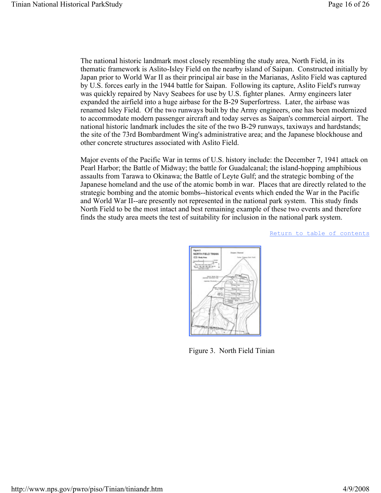The national historic landmark most closely resembling the study area, North Field, in its thematic framework is Aslito-Isley Field on the nearby island of Saipan. Constructed initially by Japan prior to World War II as their principal air base in the Marianas, Aslito Field was captured by U.S. forces early in the 1944 battle for Saipan. Following its capture, Aslito Field's runway was quickly repaired by Navy Seabees for use by U.S. fighter planes. Army engineers later expanded the airfield into a huge airbase for the B-29 Superfortress. Later, the airbase was renamed Isley Field. Of the two runways built by the Army engineers, one has been modernized to accommodate modern passenger aircraft and today serves as Saipan's commercial airport. The national historic landmark includes the site of the two B-29 runways, taxiways and hardstands; the site of the 73rd Bombardment Wing's administrative area; and the Japanese blockhouse and other concrete structures associated with Aslito Field.

Major events of the Pacific War in terms of U.S. history include: the December 7, 1941 attack on Pearl Harbor; the Battle of Midway; the battle for Guadalcanal; the island-hopping amphibious assaults from Tarawa to Okinawa; the Battle of Leyte Gulf; and the strategic bombing of the Japanese homeland and the use of the atomic bomb in war. Places that are directly related to the strategic bombing and the atomic bombs--historical events which ended the War in the Pacific and World War II--are presently not represented in the national park system. This study finds North Field to be the most intact and best remaining example of these two events and therefore finds the study area meets the test of suitability for inclusion in the national park system.

Return to table of contents



Figure 3. North Field Tinian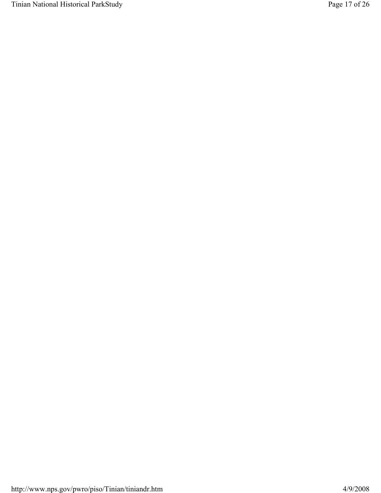Tinian National Historical ParkStudy **Page 17 of 26** Page 17 of 26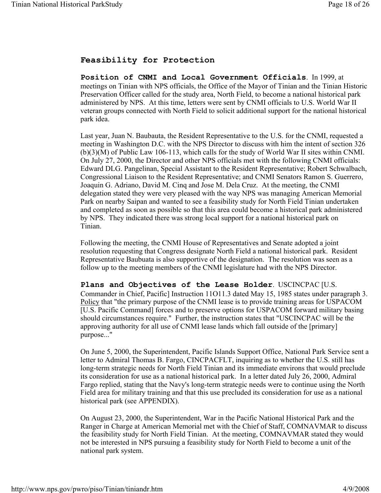## **Feasibility for Protection**

**Position of CNMI and Local Government Officials**. In 1999, at meetings on Tinian with NPS officials, the Office of the Mayor of Tinian and the Tinian Historic Preservation Officer called for the study area, North Field, to become a national historical park administered by NPS. At this time, letters were sent by CNMI officials to U.S. World War II veteran groups connected with North Field to solicit additional support for the national historical park idea.

Last year, Juan N. Baubauta, the Resident Representative to the U.S. for the CNMI, requested a meeting in Washington D.C. with the NPS Director to discuss with him the intent of section 326 (b)(3)(M) of Public Law 106-113, which calls for the study of World War II sites within CNMI. On July 27, 2000, the Director and other NPS officials met with the following CNMI officials: Edward DLG. Pangelinan, Special Assistant to the Resident Representative; Robert Schwalbach, Congressional Liaison to the Resident Representative; and CNMI Senators Ramon S. Guerrero, Joaquin G. Adriano, David M. Cinq and Jose M. Dela Cruz. At the meeting, the CNMI delegation stated they were very pleased with the way NPS was managing American Memorial Park on nearby Saipan and wanted to see a feasibility study for North Field Tinian undertaken and completed as soon as possible so that this area could become a historical park administered by NPS. They indicated there was strong local support for a national historical park on Tinian.

Following the meeting, the CNMI House of Representatives and Senate adopted a joint resolution requesting that Congress designate North Field a national historical park. Resident Representative Baubuata is also supportive of the designation. The resolution was seen as a follow up to the meeting members of the CNMI legislature had with the NPS Director.

**Plans and Objectives of the Lease Holder**. USCINCPAC [U.S. Commander in Chief, Pacific] Instruction 11O11.3 dated May 15, 1985 states under paragraph 3. Policy that "the primary purpose of the CNMI lease is to provide training areas for USPACOM [U.S. Pacific Command] forces and to preserve options for USPACOM forward military basing should circumstances require." Further, the instruction states that "USCINCPAC will be the approving authority for all use of CNMI lease lands which fall outside of the [primary] purpose..."

On June 5, 2000, the Superintendent, Pacific Islands Support Office, National Park Service sent a letter to Admiral Thomas B. Fargo, CINCPACFLT, inquiring as to whether the U.S. still has long-term strategic needs for North Field Tinian and its immediate environs that would preclude its consideration for use as a national historical park. In a letter dated July 26, 2000, Admiral Fargo replied, stating that the Navy's long-term strategic needs were to continue using the North Field area for military training and that this use precluded its consideration for use as a national historical park (see APPENDIX).

On August 23, 2000, the Superintendent, War in the Pacific National Historical Park and the Ranger in Charge at American Memorial met with the Chief of Staff, COMNAVMAR to discuss the feasibility study for North Field Tinian. At the meeting, COMNAVMAR stated they would not be interested in NPS pursuing a feasibility study for North Field to become a unit of the national park system.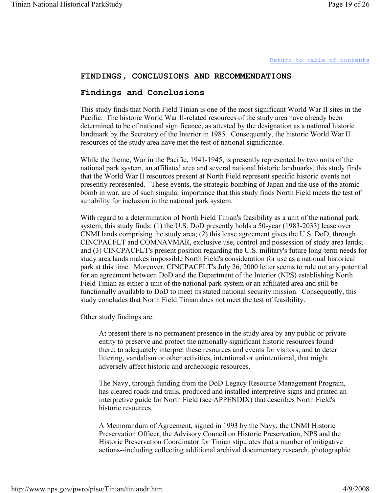#### **FINDINGS, CONCLUSIONS AND RECOMMENDATIONS**

#### **Findings and Conclusions**

This study finds that North Field Tinian is one of the most significant World War II sites in the Pacific. The historic World War II-related resources of the study area have already been determined to be of national significance, as attested by the designation as a national historic landmark by the Secretary of the Interior in 1985. Consequently, the historic World War II resources of the study area have met the test of national significance.

While the theme, War in the Pacific, 1941-1945, is presently represented by two units of the national park system, an affiliated area and several national historic landmarks, this study finds that the World War II resources present at North Field represent specific historic events not presently represented. These events, the strategic bombing of Japan and the use of the atomic bomb in war, are of such singular importance that this study finds North Field meets the test of suitability for inclusion in the national park system.

With regard to a determination of North Field Tinian's feasibility as a unit of the national park system, this study finds: (1) the U.S. DoD presently holds a 50-year (1983-2033) lease over CNMI lands comprising the study area; (2) this lease agreement gives the U.S. DoD, through CINCPACFLT and COMNAVMAR, exclusive use, control and possession of study area lands; and (3) CINCPACFLT's present position regarding the U.S. military's future long-term needs for study area lands makes impossible North Field's consideration for use as a national historical park at this time. Moreover, CINCPACFLT's July 26, 2000 letter seems to rule out any potential for an agreement between DoD and the Department of the Interior (NPS) establishing North Field Tinian as either a unit of the national park system or an affiliated area and still be functionally available to DoD to meet its stated national security mission. Consequently, this study concludes that North Field Tinian does not meet the test of feasibility.

Other study findings are:

At present there is no permanent presence in the study area by any public or private entity to preserve and protect the nationally significant historic resources found there; to adequately interpret these resources and events for visitors; and to deter littering, vandalism or other activities, intentional or unintentional, that might adversely affect historic and archeologic resources.

The Navy, through funding from the DoD Legacy Resource Management Program, has cleared roads and trails, produced and installed interpretive signs and printed an interpretive guide for North Field (see APPENDIX) that describes North Field's historic resources.

A Memorandum of Agreement, signed in 1993 by the Navy, the CNMI Historic Preservation Officer, the Advisory Council on Historic Preservation, NPS and the Historic Preservation Coordinator for Tinian stipulates that a number of mitigative actions--including collecting additional archival documentary research, photographic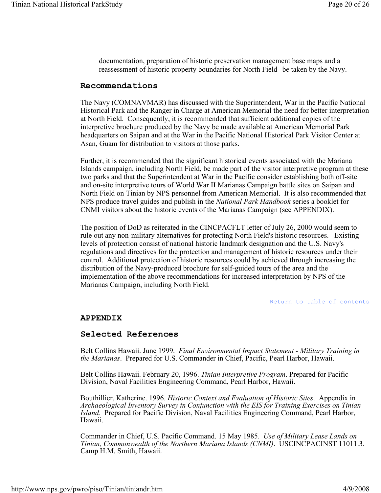documentation, preparation of historic preservation management base maps and a reassessment of historic property boundaries for North Field--be taken by the Navy.

#### **Recommendations**

The Navy (COMNAVMAR) has discussed with the Superintendent, War in the Pacific National Historical Park and the Ranger in Charge at American Memorial the need for better interpretation at North Field. Consequently, it is recommended that sufficient additional copies of the interpretive brochure produced by the Navy be made available at American Memorial Park headquarters on Saipan and at the War in the Pacific National Historical Park Visitor Center at Asan, Guam for distribution to visitors at those parks.

Further, it is recommended that the significant historical events associated with the Mariana Islands campaign, including North Field, be made part of the visitor interpretive program at these two parks and that the Superintendent at War in the Pacific consider establishing both off-site and on-site interpretive tours of World War II Marianas Campaign battle sites on Saipan and North Field on Tinian by NPS personnel from American Memorial. It is also recommended that NPS produce travel guides and publish in the *National Park Handbook* series a booklet for CNMI visitors about the historic events of the Marianas Campaign (see APPENDIX).

The position of DoD as reiterated in the CINCPACFLT letter of July 26, 2000 would seem to rule out any non-military alternatives for protecting North Field's historic resources. Existing levels of protection consist of national historic landmark designation and the U.S. Navy's regulations and directives for the protection and management of historic resources under their control. Additional protection of historic resources could by achieved through increasing the distribution of the Navy-produced brochure for self-guided tours of the area and the implementation of the above recommendations for increased interpretation by NPS of the Marianas Campaign, including North Field.

Return to table of contents

#### **APPENDIX**

#### **Selected References**

Belt Collins Hawaii. June 1999. *Final Environmental Impact Statement - Military Training in the Marianas*. Prepared for U.S. Commander in Chief, Pacific, Pearl Harbor, Hawaii.

Belt Collins Hawaii. February 20, 1996. *Tinian Interpretive Program*. Prepared for Pacific Division, Naval Facilities Engineering Command, Pearl Harbor, Hawaii.

Bouthillier, Katherine. 1996. *Historic Context and Evaluation of Historic Sites*. Appendix in *Archaeological Inventory Survey in Conjunction with the EIS for Training Exercises on Tinian Island*. Prepared for Pacific Division, Naval Facilities Engineering Command, Pearl Harbor, Hawaii.

Commander in Chief, U.S. Pacific Command. 15 May 1985. *Use of Military Lease Lands on Tinian, Commonwealth of the Northern Mariana Islands (CNMI)*. USCINCPACINST 11011.3. Camp H.M. Smith, Hawaii.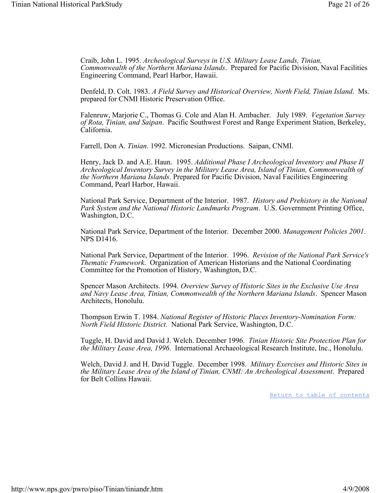Craib, John L. 1995. *Archeological Surveys in U.S. Military Lease Lands, Tinian, Commonwealth of the Northern Mariana Islands*. Prepared for Pacific Division, Naval Facilities Engineering Command, Pearl Harbor, Hawaii.

Denfeld, D. Colt. 1983. *A Field Survey and Historical Overview, North Field, Tinian Island*. Ms. prepared for CNMI Historic Preservation Office.

Falenruw, Marjorie C., Thomas G. Cole and Alan H. Ambacher. July 1989. *Vegetation Survey of Rota, Tinian, and Saipan*. Pacific Southwest Forest and Range Experiment Station, Berkeley, California.

Farrell, Don A. *Tinian*. 1992. Micronesian Productions. Saipan, CNMI.

Henry, Jack D. and A.E. Haun. 1995. *Additional Phase I Archeological Inventory and Phase II Archeological Inventory Survey in the Military Lease Area, Island of Tinian, Commonwealth of the Northern Mariana Islands*. Prepared for Pacific Division, Naval Facilities Engineering Command, Pearl Harbor, Hawaii.

National Park Service, Department of the Interior. 1987. *History and Prehistory in the National Park System and the National Historic Landmarks Program*. U.S. Government Printing Office, Washington, D.C.

National Park Service, Department of the Interior. December 2000. *Management Policies 2001*. NPS D1416.

National Park Service, Department of the Interior. 1996. *Revision of the National Park Service's Thematic Framework*. Organization of American Historians and the National Coordinating Committee for the Promotion of History, Washington, D.C.

Spencer Mason Architects. 1994. *Overview Survey of Historic Sites in the Exclusive Use Area and Navy Lease Area, Tinian, Commonwealth of the Northern Mariana Islands*. Spencer Mason Architects, Honolulu.

Thompson Erwin T. 1984. *National Register of Historic Places Inventory-Nomination Form: North Field Historic District*. National Park Service, Washington, D.C.

Tuggle, H. David and David J. Welch. December 1996. *Tinian Historic Site Protection Plan for the Military Lease Area, 1996*. International Archaeological Research Institute, Inc., Honolulu.

Welch, David J. and H. David Tuggle. December 1998. *Military Exercises and Historic Sites in the Military Lease Area of the Island of Tinian, CNMI: An Archeological Assessment*. Prepared for Belt Collins Hawaii.

Return to table of contents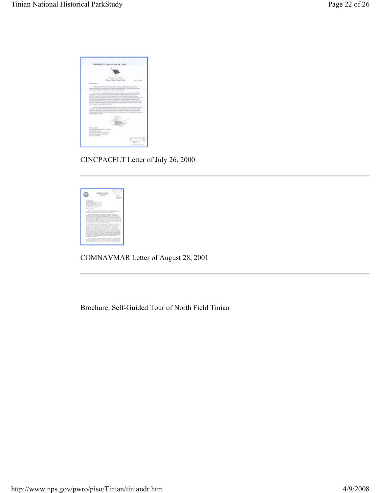

CINCPACFLT Letter of July 26, 2000



COMNAVMAR Letter of August 28, 2001

Brochure: Self-Guided Tour of North Field Tinian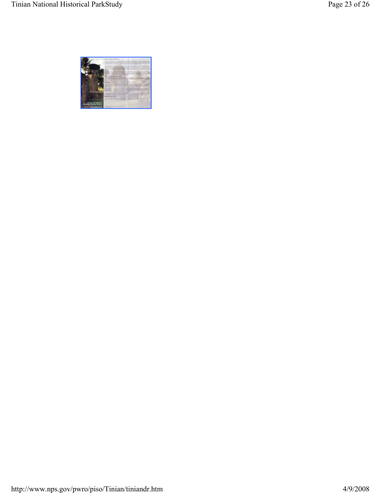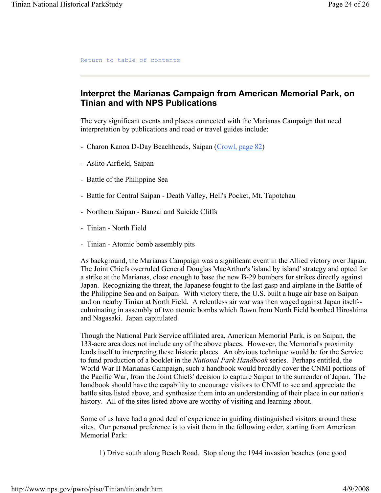Return to table of contents

# **Interpret the Marianas Campaign from American Memorial Park, on Tinian and with NPS Publications**

The very significant events and places connected with the Marianas Campaign that need interpretation by publications and road or travel guides include:

- Charon Kanoa D-Day Beachheads, Saipan (Crowl, page 82)
- Aslito Airfield, Saipan
- Battle of the Philippine Sea
- Battle for Central Saipan Death Valley, Hell's Pocket, Mt. Tapotchau
- Northern Saipan Banzai and Suicide Cliffs
- Tinian North Field
- Tinian Atomic bomb assembly pits

As background, the Marianas Campaign was a significant event in the Allied victory over Japan. The Joint Chiefs overruled General Douglas MacArthur's 'island by island' strategy and opted for a strike at the Marianas, close enough to base the new B-29 bombers for strikes directly against Japan. Recognizing the threat, the Japanese fought to the last gasp and airplane in the Battle of the Philippine Sea and on Saipan. With victory there, the U.S. built a huge air base on Saipan and on nearby Tinian at North Field. A relentless air war was then waged against Japan itself- culminating in assembly of two atomic bombs which flown from North Field bombed Hiroshima and Nagasaki. Japan capitulated.

Though the National Park Service affiliated area, American Memorial Park, is on Saipan, the 133-acre area does not include any of the above places. However, the Memorial's proximity lends itself to interpreting these historic places. An obvious technique would be for the Service to fund production of a booklet in the *National Park Handbook* series. Perhaps entitled, the World War II Marianas Campaign, such a handbook would broadly cover the CNMI portions of the Pacific War, from the Joint Chiefs' decision to capture Saipan to the surrender of Japan. The handbook should have the capability to encourage visitors to CNMI to see and appreciate the battle sites listed above, and synthesize them into an understanding of their place in our nation's history. All of the sites listed above are worthy of visiting and learning about.

Some of us have had a good deal of experience in guiding distinguished visitors around these sites. Our personal preference is to visit them in the following order, starting from American Memorial Park:

1) Drive south along Beach Road. Stop along the 1944 invasion beaches (one good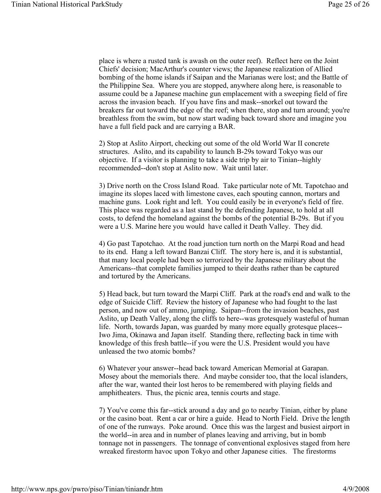place is where a rusted tank is awash on the outer reef). Reflect here on the Joint Chiefs' decision; MacArthur's counter views; the Japanese realization of Allied bombing of the home islands if Saipan and the Marianas were lost; and the Battle of the Philippine Sea. Where you are stopped, anywhere along here, is reasonable to assume could be a Japanese machine gun emplacement with a sweeping field of fire across the invasion beach. If you have fins and mask--snorkel out toward the breakers far out toward the edge of the reef; when there, stop and turn around; you're breathless from the swim, but now start wading back toward shore and imagine you have a full field pack and are carrying a BAR.

2) Stop at Aslito Airport, checking out some of the old World War II concrete structures. Aslito, and its capability to launch B-29s toward Tokyo was our objective. If a visitor is planning to take a side trip by air to Tinian--highly recommended--don't stop at Aslito now. Wait until later.

3) Drive north on the Cross Island Road. Take particular note of Mt. Tapotchao and imagine its slopes laced with limestone caves, each spouting cannon, mortars and machine guns. Look right and left. You could easily be in everyone's field of fire. This place was regarded as a last stand by the defending Japanese, to hold at all costs, to defend the homeland against the bombs of the potential B-29s. But if you were a U.S. Marine here you would have called it Death Valley. They did.

4) Go past Tapotchao. At the road junction turn north on the Marpi Road and head to its end. Hang a left toward Banzai Cliff. The story here is, and it is substantial, that many local people had been so terrorized by the Japanese military about the Americans--that complete families jumped to their deaths rather than be captured and tortured by the Americans.

5) Head back, but turn toward the Marpi Cliff. Park at the road's end and walk to the edge of Suicide Cliff. Review the history of Japanese who had fought to the last person, and now out of ammo, jumping. Saipan--from the invasion beaches, past Aslito, up Death Valley, along the cliffs to here--was grotesquely wasteful of human life. North, towards Japan, was guarded by many more equally grotesque places-- Iwo Jima, Okinawa and Japan itself. Standing there, reflecting back in time with knowledge of this fresh battle--if you were the U.S. President would you have unleased the two atomic bombs?

6) Whatever your answer--head back toward American Memorial at Garapan. Mosey about the memorials there. And maybe consider too, that the local islanders, after the war, wanted their lost heros to be remembered with playing fields and amphitheaters. Thus, the picnic area, tennis courts and stage.

7) You've come this far--stick around a day and go to nearby Tinian, either by plane or the casino boat. Rent a car or hire a guide. Head to North Field. Drive the length of one of the runways. Poke around. Once this was the largest and busiest airport in the world--in area and in number of planes leaving and arriving, but in bomb tonnage not in passengers. The tonnage of conventional explosives staged from here wreaked firestorm havoc upon Tokyo and other Japanese cities. The firestorms